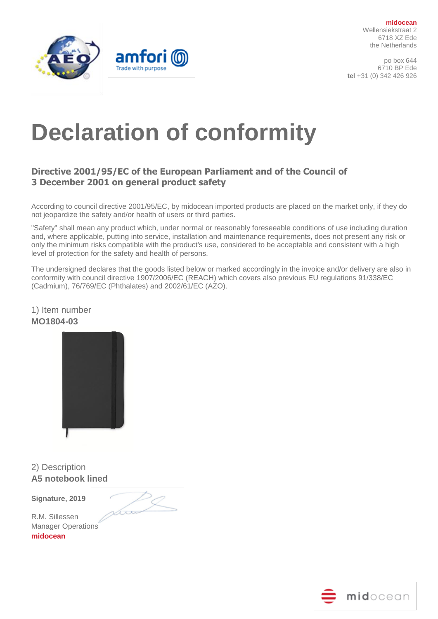

po box 644 6710 BP Ede **tel** +31 (0) 342 426 926



# **Declaration of conformity**

## **Directive 2001/95/EC of the European Parliament and of the Council of 3 December 2001 on general product safety**

According to council directive 2001/95/EC, by midocean imported products are placed on the market only, if they do not jeopardize the safety and/or health of users or third parties.

"Safety" shall mean any product which, under normal or reasonably foreseeable conditions of use including duration and, where applicable, putting into service, installation and maintenance requirements, does not present any risk or only the minimum risks compatible with the product's use, considered to be acceptable and consistent with a high level of protection for the safety and health of persons.

The undersigned declares that the goods listed below or marked accordingly in the invoice and/or delivery are also in conformity with council directive 1907/2006/EC (REACH) which covers also previous EU regulations 91/338/EC (Cadmium), 76/769/EC (Phthalates) and 2002/61/EC (AZO).

1) Item number **MO1804-03**



2) Description **A5 notebook lined**

**Signature, 2019** 



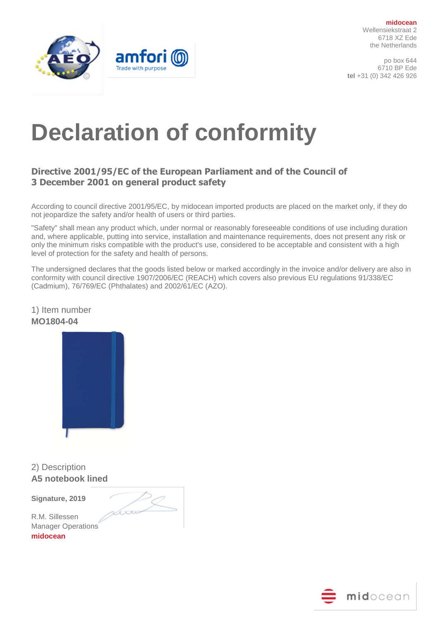po box 644 6710 BP Ede **tel** +31 (0) 342 426 926



# **Declaration of conformity**

## **Directive 2001/95/EC of the European Parliament and of the Council of 3 December 2001 on general product safety**

According to council directive 2001/95/EC, by midocean imported products are placed on the market only, if they do not jeopardize the safety and/or health of users or third parties.

"Safety" shall mean any product which, under normal or reasonably foreseeable conditions of use including duration and, where applicable, putting into service, installation and maintenance requirements, does not present any risk or only the minimum risks compatible with the product's use, considered to be acceptable and consistent with a high level of protection for the safety and health of persons.

The undersigned declares that the goods listed below or marked accordingly in the invoice and/or delivery are also in conformity with council directive 1907/2006/EC (REACH) which covers also previous EU regulations 91/338/EC (Cadmium), 76/769/EC (Phthalates) and 2002/61/EC (AZO).



2) Description **A5 notebook lined**

**Signature, 2019** 



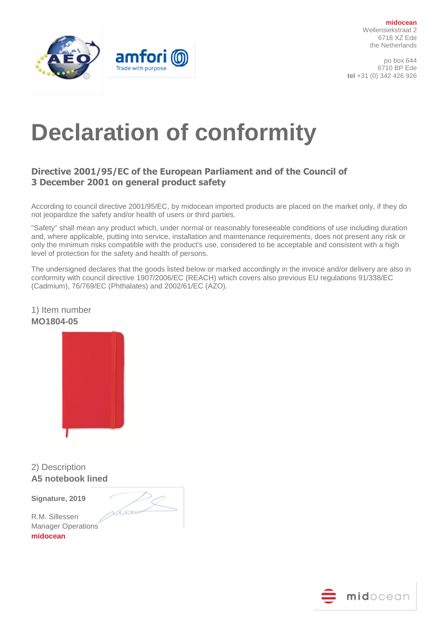po box 644 6710 BP Ede **tel** +31 (0) 342 426 926



# **Declaration of conformity**

## **Directive 2001/95/EC of the European Parliament and of the Council of 3 December 2001 on general product safety**

According to council directive 2001/95/EC, by midocean imported products are placed on the market only, if they do not jeopardize the safety and/or health of users or third parties.

"Safety" shall mean any product which, under normal or reasonably foreseeable conditions of use including duration and, where applicable, putting into service, installation and maintenance requirements, does not present any risk or only the minimum risks compatible with the product's use, considered to be acceptable and consistent with a high level of protection for the safety and health of persons.

The undersigned declares that the goods listed below or marked accordingly in the invoice and/or delivery are also in conformity with council directive 1907/2006/EC (REACH) which covers also previous EU regulations 91/338/EC (Cadmium), 76/769/EC (Phthalates) and 2002/61/EC (AZO).



2) Description **A5 notebook lined**

**Signature, 2019** 



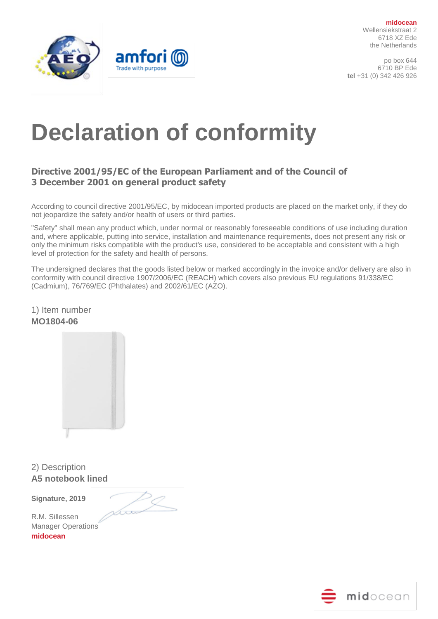

po box 644 6710 BP Ede **tel** +31 (0) 342 426 926



# **Declaration of conformity**

## **Directive 2001/95/EC of the European Parliament and of the Council of 3 December 2001 on general product safety**

According to council directive 2001/95/EC, by midocean imported products are placed on the market only, if they do not jeopardize the safety and/or health of users or third parties.

"Safety" shall mean any product which, under normal or reasonably foreseeable conditions of use including duration and, where applicable, putting into service, installation and maintenance requirements, does not present any risk or only the minimum risks compatible with the product's use, considered to be acceptable and consistent with a high level of protection for the safety and health of persons.

The undersigned declares that the goods listed below or marked accordingly in the invoice and/or delivery are also in conformity with council directive 1907/2006/EC (REACH) which covers also previous EU regulations 91/338/EC (Cadmium), 76/769/EC (Phthalates) and 2002/61/EC (AZO).

1) Item number **MO1804-06**

2) Description **A5 notebook lined**

**Signature, 2019** 



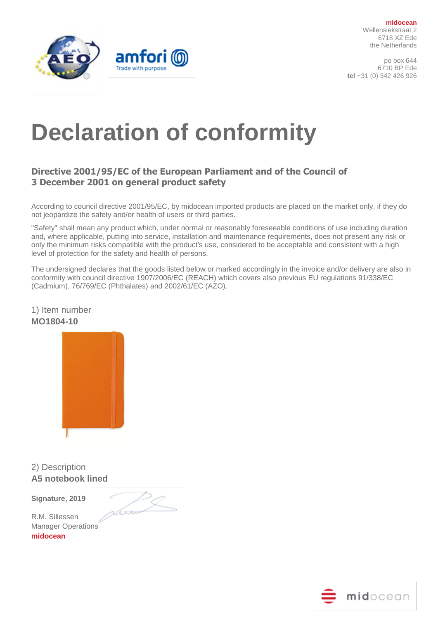po box 644 6710 BP Ede **tel** +31 (0) 342 426 926



# **Declaration of conformity**

## **Directive 2001/95/EC of the European Parliament and of the Council of 3 December 2001 on general product safety**

According to council directive 2001/95/EC, by midocean imported products are placed on the market only, if they do not jeopardize the safety and/or health of users or third parties.

"Safety" shall mean any product which, under normal or reasonably foreseeable conditions of use including duration and, where applicable, putting into service, installation and maintenance requirements, does not present any risk or only the minimum risks compatible with the product's use, considered to be acceptable and consistent with a high level of protection for the safety and health of persons.

The undersigned declares that the goods listed below or marked accordingly in the invoice and/or delivery are also in conformity with council directive 1907/2006/EC (REACH) which covers also previous EU regulations 91/338/EC (Cadmium), 76/769/EC (Phthalates) and 2002/61/EC (AZO).



2) Description **A5 notebook lined**

**Signature, 2019** 

Low

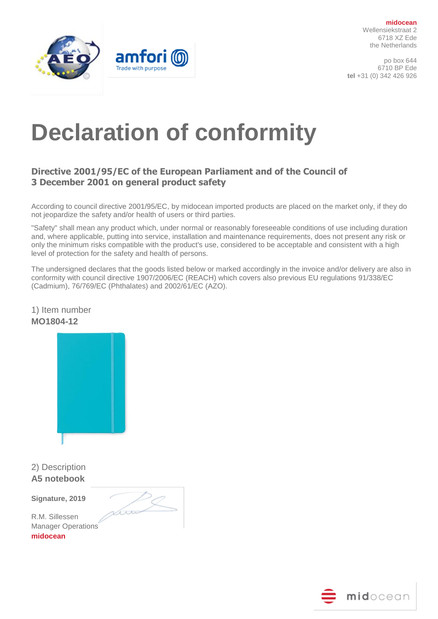po box 644 6710 BP Ede **tel** +31 (0) 342 426 926



# **Declaration of conformity**

## **Directive 2001/95/EC of the European Parliament and of the Council of 3 December 2001 on general product safety**

According to council directive 2001/95/EC, by midocean imported products are placed on the market only, if they do not jeopardize the safety and/or health of users or third parties.

"Safety" shall mean any product which, under normal or reasonably foreseeable conditions of use including duration and, where applicable, putting into service, installation and maintenance requirements, does not present any risk or only the minimum risks compatible with the product's use, considered to be acceptable and consistent with a high level of protection for the safety and health of persons.

The undersigned declares that the goods listed below or marked accordingly in the invoice and/or delivery are also in conformity with council directive 1907/2006/EC (REACH) which covers also previous EU regulations 91/338/EC (Cadmium), 76/769/EC (Phthalates) and 2002/61/EC (AZO).



2) Description **A5 notebook**

**Signature, 2019** 

tro

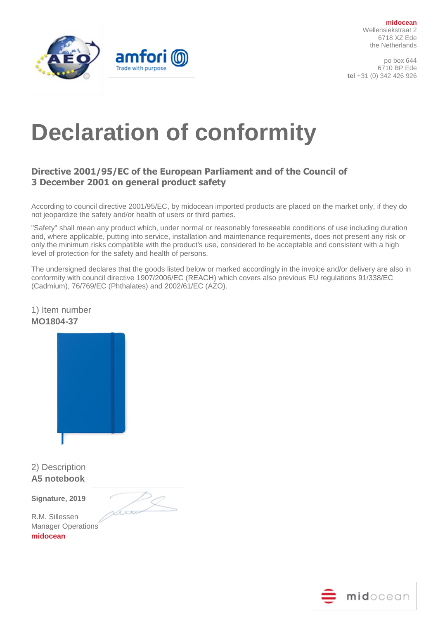po box 644 6710 BP Ede **tel** +31 (0) 342 426 926



# **Declaration of conformity**

## **Directive 2001/95/EC of the European Parliament and of the Council of 3 December 2001 on general product safety**

According to council directive 2001/95/EC, by midocean imported products are placed on the market only, if they do not jeopardize the safety and/or health of users or third parties.

"Safety" shall mean any product which, under normal or reasonably foreseeable conditions of use including duration and, where applicable, putting into service, installation and maintenance requirements, does not present any risk or only the minimum risks compatible with the product's use, considered to be acceptable and consistent with a high level of protection for the safety and health of persons.

The undersigned declares that the goods listed below or marked accordingly in the invoice and/or delivery are also in conformity with council directive 1907/2006/EC (REACH) which covers also previous EU regulations 91/338/EC (Cadmium), 76/769/EC (Phthalates) and 2002/61/EC (AZO).

1) Item number **MO1804-37**

2) Description **A5 notebook**

**Signature, 2019** 

tro